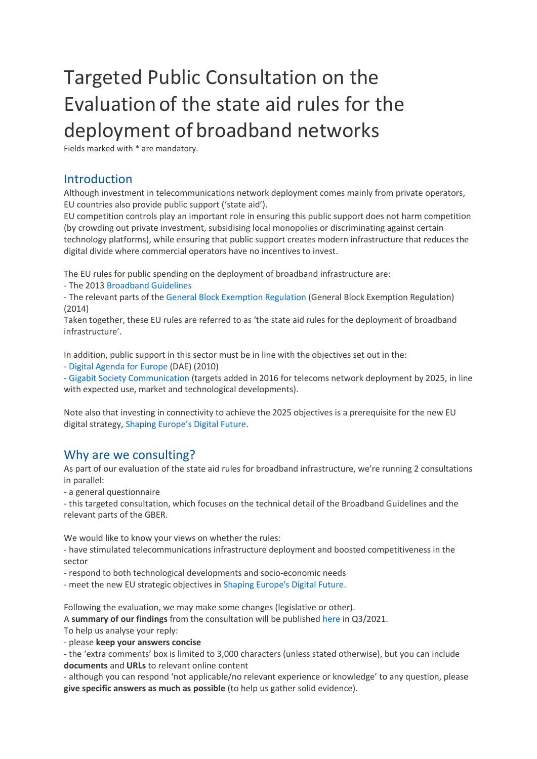# Targeted Public Consultation on the Evaluationof the state aid rules for the deployment of broadband networks

Fields marked with \* are mandatory.

# Introduction

Although investment in telecommunications network deployment comes mainly from private operators, EU countries also provide public support ('state aid').

EU competition controls play an important role in ensuring this public support does not harm competition (by crowding out private investment, subsidising local monopolies or discriminating against certain technology platforms), while ensuring that public support creates modern infrastructure that reduces the digital divide where commercial operators have no incentives to invest.

The EU rules for public spending on the deployment of broadband infrastructure are:

- The 2013 Broadband Guidelines

- The relevant parts of the General Block Exemption Regulation (General Block Exemption Regulation) (2014)

Taken together, these EU rules are referred to as 'the state aid rules for the deployment of broadband infrastructure'.

In addition, public support in this sector must be in line with the objectives set out in the:

- Digital Agenda for Europe (DAE) (2010)

- Gigabit Society Communication (targets added in 2016 for telecoms network deployment by 2025, in line with expected use, market and technological developments).

Note also that investing in connectivity to achieve the 2025 objectives is a prerequisite for the new EU digital strategy, Shaping Europe's Digital Future.

# Why are we consulting?

As part of our evaluation of the state aid rules for broadband infrastructure, we're running 2 consultations in parallel:

- a general questionnaire

- this targeted consultation, which focuses on the technical detail of the Broadband Guidelines and the relevant parts of the GBER.

We would like to know your views on whether the rules:

- have stimulated telecommunications infrastructure deployment and boosted competitiveness in the sector

- respond to both technological developments and socio-economic needs

- meet the new EU strategic objectives in Shaping Europe's Digital Future.

Following the evaluation, we may make some changes (legislative or other).

A **summary of our findings** from the consultation will be published here in Q3/2021.

To help us analyse your reply:

- please **keep your answers concise**

- the 'extra comments' box is limited to 3,000 characters (unless stated otherwise), but you can include **documents** and **URLs** to relevant online content

- although you can respond 'not applicable/no relevant experience or knowledge' to any question, please **give specific answers as much as possible** (to help us gather solid evidence).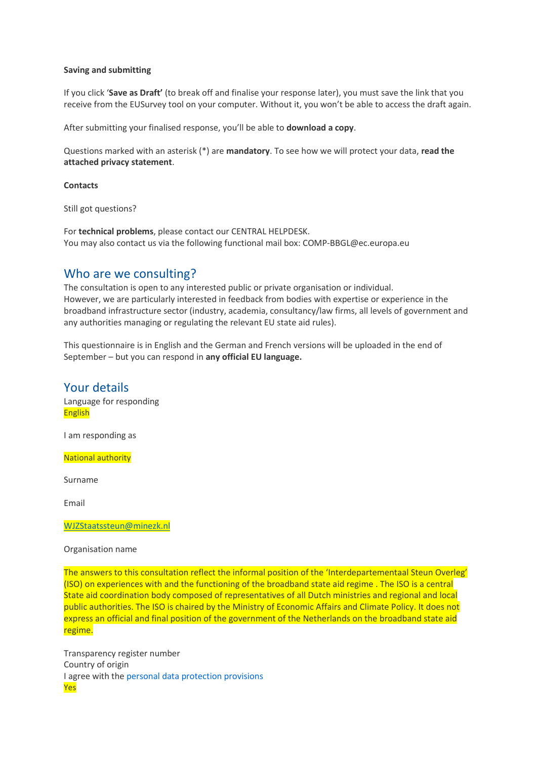#### **Saving and submitting**

If you click '**Save as Draft'** (to break off and finalise your response later), you must save the link that you receive from the EUSurvey tool on your computer. Without it, you won't be able to access the draft again.

After submitting your finalised response, you'll be able to **download a copy**.

Questions marked with an asterisk (\*) are **mandatory**. To see how we will protect your data, **read the attached privacy statement**.

**Contacts**

Still got questions?

For **technical problems**, please contact our CENTRAL HELPDESK. You may also contact us via the following functional mail box: COMP-BBGL@ec.europa.eu

# Who are we consulting?

The consultation is open to any interested public or private organisation or individual. However, we are particularly interested in feedback from bodies with expertise or experience in the broadband infrastructure sector (industry, academia, consultancy/law firms, all levels of government and any authorities managing or regulating the relevant EU state aid rules).

This questionnaire is in English and the German and French versions will be uploaded in the end of September – but you can respond in **any official EU language.**

Your details Language for responding English

I am responding as

National authority

Surname

Email

[WJZStaatssteun@minezk.nl](mailto:WJZStaatssteun@minezk.nl)

#### Organisation name

The answers to this consultation reflect the informal position of the 'Interdepartementaal Steun Overleg' (ISO) on experiences with and the functioning of the broadband state aid regime . The ISO is a central State aid coordination body composed of representatives of all Dutch ministries and regional and local public authorities. The ISO is chaired by the Ministry of Economic Affairs and Climate Policy. It does not express an official and final position of the government of the Netherlands on the broadband state aid regime.

Transparency register number Country of origin I agree with the personal data protection provisions Yes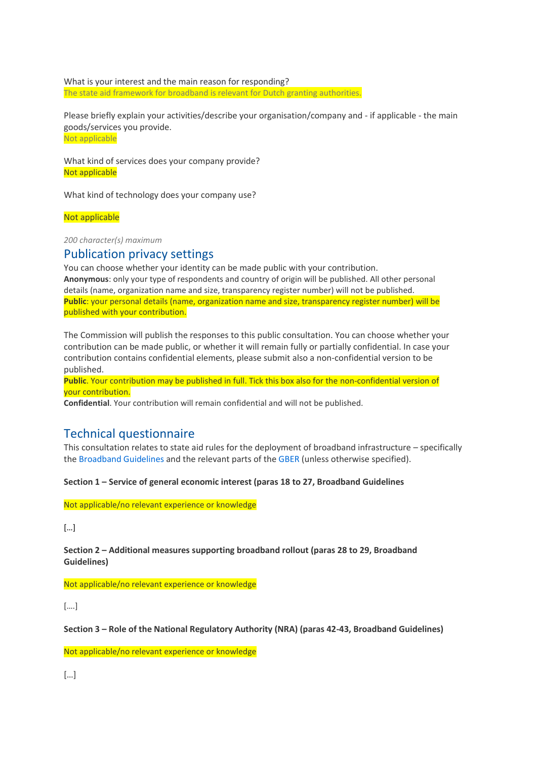What is your interest and the main reason for responding? The state aid framework for broadband is relevant for Dutch granting authorities.

Please briefly explain your activities/describe your organisation/company and - if applicable - the main goods/services you provide. Not applicable

What kind of services does your company provide? Not applicable

What kind of technology does your company use?

## Not applicable

*200 character(s) maximum*

# Publication privacy settings

You can choose whether your identity can be made public with your contribution. **Anonymous**: only your type of respondents and country of origin will be published. All other personal details (name, organization name and size, transparency register number) will not be published. **Public**: your personal details (name, organization name and size, transparency register number) will be published with your contribution.

The Commission will publish the responses to this public consultation. You can choose whether your contribution can be made public, or whether it will remain fully or partially confidential. In case your contribution contains confidential elements, please submit also a non-confidential version to be published.

**Public**. Your contribution may be published in full. Tick this box also for the non-confidential version of your contribution.

**Confidential**. Your contribution will remain confidential and will not be published.

# Technical questionnaire

This consultation relates to state aid rules for the deployment of broadband infrastructure – specifically the Broadband Guidelines and the relevant parts of the GBER (unless otherwise specified).

**Section 1 – Service of general economic interest (paras 18 to 27, Broadband Guidelines**

Not applicable/no relevant experience or knowledge

[…]

**Section 2 – Additional measures supporting broadband rollout (paras 28 to 29, Broadband Guidelines)**

Not applicable/no relevant experience or knowledge

[….]

**Section 3 – Role of the National Regulatory Authority (NRA) (paras 42-43, Broadband Guidelines)**

Not applicable/no relevant experience or knowledge

[…]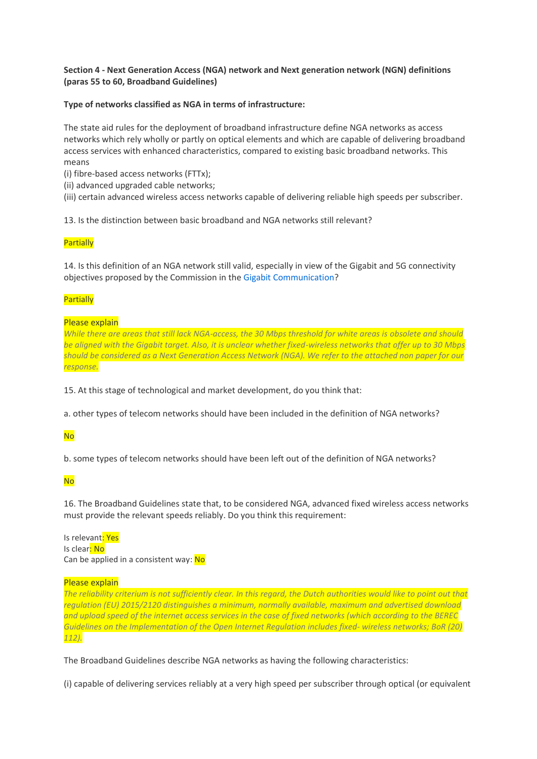## **Section 4 - Next Generation Access (NGA) network and Next generation network (NGN) definitions (paras 55 to 60, Broadband Guidelines)**

**Type of networks classified as NGA in terms of infrastructure:** 

The state aid rules for the deployment of broadband infrastructure define NGA networks as access networks which rely wholly or partly on optical elements and which are capable of delivering broadband access services with enhanced characteristics, compared to existing basic broadband networks. This means

(i) fibre-based access networks (FTTx);

(ii) advanced upgraded cable networks;

(iii) certain advanced wireless access networks capable of delivering reliable high speeds per subscriber.

13. Is the distinction between basic broadband and NGA networks still relevant?

#### **Partially**

14. Is this definition of an NGA network still valid, especially in view of the Gigabit and 5G connectivity objectives proposed by the Commission in the Gigabit Communication?

#### **Partially**

#### Please explain

*While there are areas that still lack NGA-access, the 30 Mbps threshold for white areas is obsolete and should be aligned with the Gigabit target. Also, it is unclear whether fixed-wireless networks that offer up to 30 Mbps should be considered as a Next Generation Access Network (NGA). We refer to the attached non paper for our response.*

15. At this stage of technological and market development, do you think that:

a. other types of telecom networks should have been included in the definition of NGA networks?

## No

b. some types of telecom networks should have been left out of the definition of NGA networks?

No

16. The Broadband Guidelines state that, to be considered NGA, advanced fixed wireless access networks must provide the relevant speeds reliably. Do you think this requirement:

Is relevant: Yes Is clear: No Can be applied in a consistent way: No

#### Please explain

*The reliability criterium is not sufficiently clear. In this regard, the Dutch authorities would like to point out that regulation (EU) 2015/2120 distinguishes a minimum, normally available, maximum and advertised download and upload speed of the internet access services in the case of fixed networks (which according to the BEREC Guidelines on the Implementation of the Open Internet Regulation includes fixed- wireless networks; BoR (20) 112).*

The Broadband Guidelines describe NGA networks as having the following characteristics:

(i) capable of delivering services reliably at a very high speed per subscriber through optical (or equivalent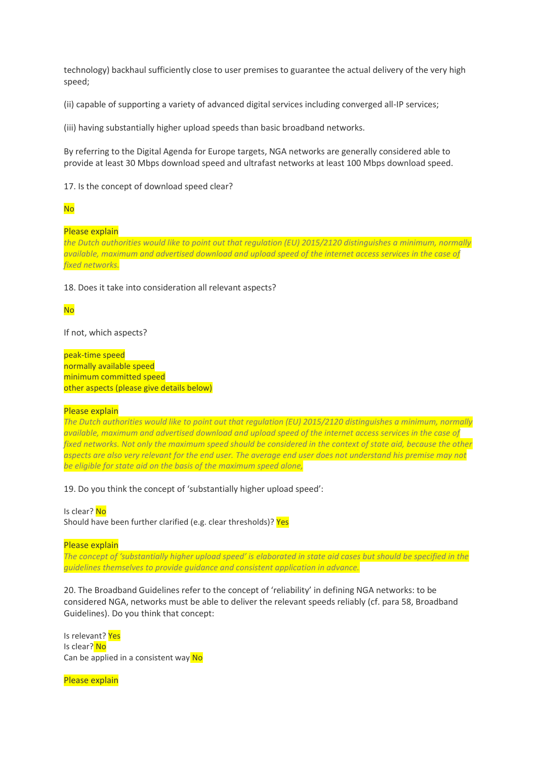technology) backhaul sufficiently close to user premises to guarantee the actual delivery of the very high speed;

(ii) capable of supporting a variety of advanced digital services including converged all-IP services;

(iii) having substantially higher upload speeds than basic broadband networks.

By referring to the Digital Agenda for Europe targets, NGA networks are generally considered able to provide at least 30 Mbps download speed and ultrafast networks at least 100 Mbps download speed.

17. Is the concept of download speed clear?

#### No

#### Please explain

*the Dutch authorities would like to point out that regulation (EU) 2015/2120 distinguishes a minimum, normally available, maximum and advertised download and upload speed of the internet access services in the case of fixed networks.*

18. Does it take into consideration all relevant aspects?

#### No

If not, which aspects?

peak-time speed normally available speed minimum committed speed other aspects (please give details below)

Please explain

*The Dutch authorities would like to point out that regulation (EU) 2015/2120 distinguishes a minimum, normally available, maximum and advertised download and upload speed of the internet access services in the case of fixed networks. Not only the maximum speed should be considered in the context of state aid, because the other aspects are also very relevant for the end user. The average end user does not understand his premise may not be eligible for state aid on the basis of the maximum speed alone,*

19. Do you think the concept of 'substantially higher upload speed':

Is clear? No Should have been further clarified (e.g. clear thresholds)? Yes

Please explain

The concept of 'substantially higher upload speed' is elaborated in state aid cases but should be specified in the *guidelines themselves to provide guidance and consistent application in advance.*

20. The Broadband Guidelines refer to the concept of 'reliability' in defining NGA networks: to be considered NGA, networks must be able to deliver the relevant speeds reliably (cf. para 58, Broadband Guidelines). Do you think that concept:

Is relevant? Yes Is clear? No Can be applied in a consistent way No

Please explain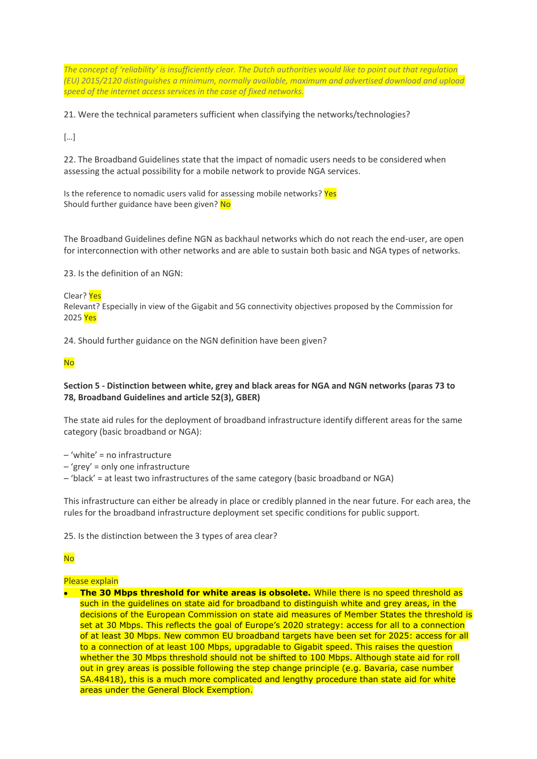*The concept of 'reliability' is insufficiently clear. The Dutch authorities would like to point out that regulation (EU) 2015/2120 distinguishes a minimum, normally available, maximum and advertised download and upload speed of the internet access services in the case of fixed networks.*

21. Were the technical parameters sufficient when classifying the networks/technologies?

 $\lceil \dots \rceil$ 

22. The Broadband Guidelines state that the impact of nomadic users needs to be considered when assessing the actual possibility for a mobile network to provide NGA services.

Is the reference to nomadic users valid for assessing mobile networks? Yes Should further guidance have been given? No

The Broadband Guidelines define NGN as backhaul networks which do not reach the end-user, are open for interconnection with other networks and are able to sustain both basic and NGA types of networks.

23. Is the definition of an NGN:

Clear? Yes

Relevant? Especially in view of the Gigabit and 5G connectivity objectives proposed by the Commission for 2025 Yes

24. Should further guidance on the NGN definition have been given?

# No

## **Section 5 - Distinction between white, grey and black areas for NGA and NGN networks (paras 73 to 78, Broadband Guidelines and article 52(3), GBER)**

The state aid rules for the deployment of broadband infrastructure identify different areas for the same category (basic broadband or NGA):

- 'white' = no infrastructure
- 'grey' = only one infrastructure
- 'black' = at least two infrastructures of the same category (basic broadband or NGA)

This infrastructure can either be already in place or credibly planned in the near future. For each area, the rules for the broadband infrastructure deployment set specific conditions for public support.

25. Is the distinction between the 3 types of area clear?

# No

# Please explain

• **The 30 Mbps threshold for white areas is obsolete.** While there is no speed threshold as such in the guidelines on state aid for broadband to distinguish white and grey areas, in the decisions of the European Commission on state aid measures of Member States the threshold is set at 30 Mbps. This reflects the goal of Europe's 2020 strategy: access for all to a connection of at least 30 Mbps. New common EU broadband targets have been set for 2025: access for all to a connection of at least 100 Mbps, upgradable to Gigabit speed. This raises the question whether the 30 Mbps threshold should not be shifted to 100 Mbps. Although state aid for roll out in grey areas is possible following the step change principle (e.g. Bavaria, case number SA.48418), this is a much more complicated and lengthy procedure than state aid for white areas under the General Block Exemption.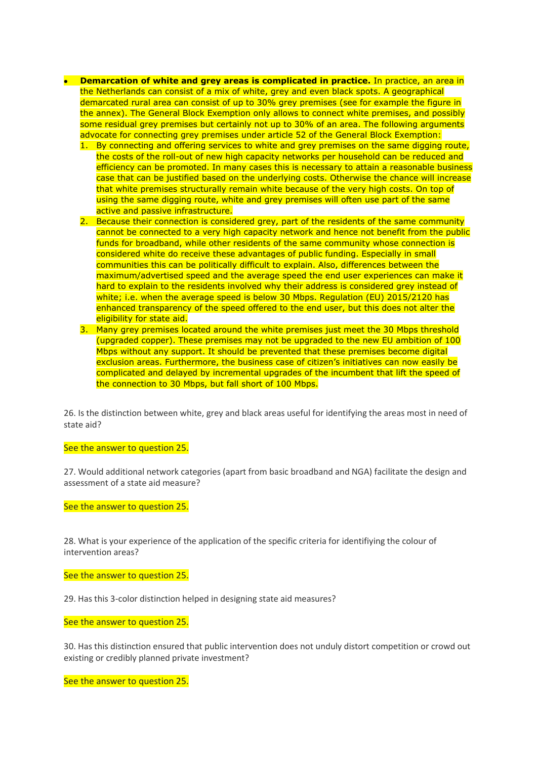- **Demarcation of white and grey areas is complicated in practice.** In practice, an area in the Netherlands can consist of a mix of white, grey and even black spots. A geographical demarcated rural area can consist of up to 30% grey premises (see for example the figure in the annex). The General Block Exemption only allows to connect white premises, and possibly some residual grey premises but certainly not up to 30% of an area. The following arguments advocate for connecting grey premises under article 52 of the General Block Exemption:
	- 1. By connecting and offering services to white and grey premises on the same digging route, the costs of the roll-out of new high capacity networks per household can be reduced and efficiency can be promoted. In many cases this is necessary to attain a reasonable business case that can be justified based on the underlying costs. Otherwise the chance will increase that white premises structurally remain white because of the very high costs. On top of using the same digging route, white and grey premises will often use part of the same active and passive infrastructure.
	- 2. Because their connection is considered grey, part of the residents of the same community cannot be connected to a very high capacity network and hence not benefit from the public funds for broadband, while other residents of the same community whose connection is considered white do receive these advantages of public funding. Especially in small communities this can be politically difficult to explain. Also, differences between the maximum/advertised speed and the average speed the end user experiences can make it hard to explain to the residents involved why their address is considered grey instead of white; i.e. when the average speed is below 30 Mbps. Regulation (EU) 2015/2120 has enhanced transparency of the speed offered to the end user, but this does not alter the eligibility for state aid.
	- 3. Many grey premises located around the white premises just meet the 30 Mbps threshold (upgraded copper). These premises may not be upgraded to the new EU ambition of 100 Mbps without any support. It should be prevented that these premises become digital exclusion areas. Furthermore, the business case of citizen's initiatives can now easily be complicated and delayed by incremental upgrades of the incumbent that lift the speed of the connection to 30 Mbps, but fall short of 100 Mbps.

26. Is the distinction between white, grey and black areas useful for identifying the areas most in need of state aid?

See the answer to question 25.

27. Would additional network categories (apart from basic broadband and NGA) facilitate the design and assessment of a state aid measure?

See the answer to question 25.

28. What is your experience of the application of the specific criteria for identifiying the colour of intervention areas?

See the answer to question 25.

29. Has this 3-color distinction helped in designing state aid measures?

See the answer to question 25.

30. Has this distinction ensured that public intervention does not unduly distort competition or crowd out existing or credibly planned private investment?

See the answer to question 25.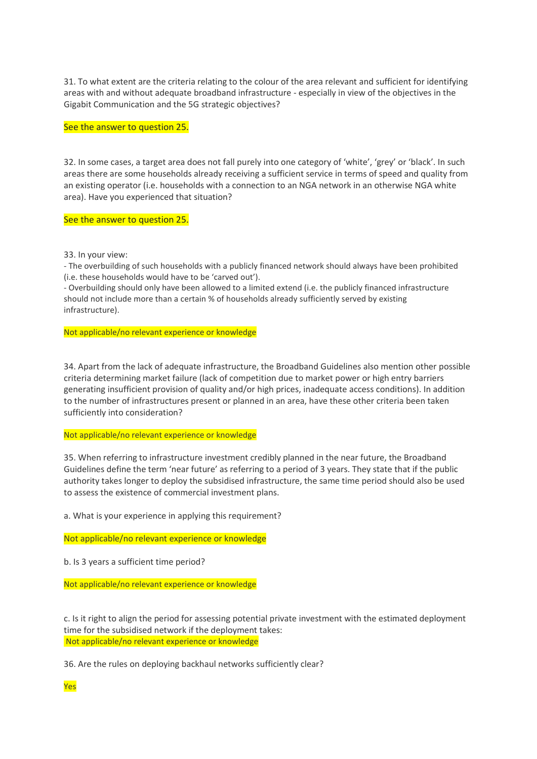31. To what extent are the criteria relating to the colour of the area relevant and sufficient for identifying areas with and without adequate broadband infrastructure - especially in view of the objectives in the Gigabit Communication and the 5G strategic objectives?

#### See the answer to question 25.

32. In some cases, a target area does not fall purely into one category of 'white', 'grey' or 'black'. In such areas there are some households already receiving a sufficient service in terms of speed and quality from an existing operator (i.e. households with a connection to an NGA network in an otherwise NGA white area). Have you experienced that situation?

#### See the answer to question 25.

33. In your view:

- The overbuilding of such households with a publicly financed network should always have been prohibited (i.e. these households would have to be 'carved out').

- Overbuilding should only have been allowed to a limited extend (i.e. the publicly financed infrastructure should not include more than a certain % of households already sufficiently served by existing infrastructure).

Not applicable/no relevant experience or knowledge

34. Apart from the lack of adequate infrastructure, the Broadband Guidelines also mention other possible criteria determining market failure (lack of competition due to market power or high entry barriers generating insufficient provision of quality and/or high prices, inadequate access conditions). In addition to the number of infrastructures present or planned in an area, have these other criteria been taken sufficiently into consideration?

#### Not applicable/no relevant experience or knowledge

35. When referring to infrastructure investment credibly planned in the near future, the Broadband Guidelines define the term 'near future' as referring to a period of 3 years. They state that if the public authority takes longer to deploy the subsidised infrastructure, the same time period should also be used to assess the existence of commercial investment plans.

a. What is your experience in applying this requirement?

Not applicable/no relevant experience or knowledge

b. Is 3 years a sufficient time period?

Not applicable/no relevant experience or knowledge

c. Is it right to align the period for assessing potential private investment with the estimated deployment time for the subsidised network if the deployment takes: Not applicable/no relevant experience or knowledge

36. Are the rules on deploying backhaul networks sufficiently clear?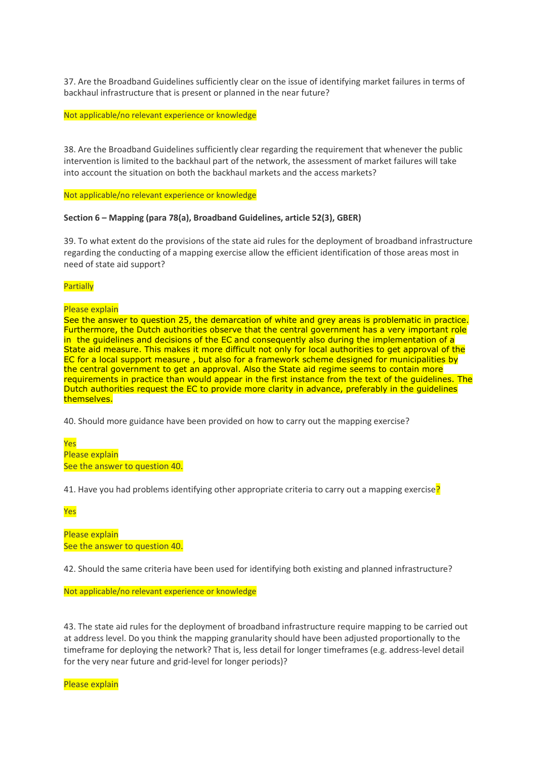37. Are the Broadband Guidelines sufficiently clear on the issue of identifying market failures in terms of backhaul infrastructure that is present or planned in the near future?

Not applicable/no relevant experience or knowledge

38. Are the Broadband Guidelines sufficiently clear regarding the requirement that whenever the public intervention is limited to the backhaul part of the network, the assessment of market failures will take into account the situation on both the backhaul markets and the access markets?

Not applicable/no relevant experience or knowledge

#### **Section 6 – Mapping (para 78(a), Broadband Guidelines, article 52(3), GBER)**

39. To what extent do the provisions of the state aid rules for the deployment of broadband infrastructure regarding the conducting of a mapping exercise allow the efficient identification of those areas most in need of state aid support?

#### **Partially**

Please explain

See the answer to question 25, the demarcation of white and grey areas is problematic in practice. Furthermore, the Dutch authorities observe that the central government has a very important role in the guidelines and decisions of the EC and consequently also during the implementation of a State aid measure. This makes it more difficult not only for local authorities to get approval of the EC for a local support measure , but also for a framework scheme designed for municipalities by the central government to get an approval. Also the State aid regime seems to contain more requirements in practice than would appear in the first instance from the text of the guidelines. The Dutch authorities request the EC to provide more clarity in advance, preferably in the guidelines themselves.

40. Should more guidance have been provided on how to carry out the mapping exercise?

Yes Please explain See the answer to question 40.

41. Have you had problems identifying other appropriate criteria to carry out a mapping exercise?

Yes

Please explain See the answer to question 40.

42. Should the same criteria have been used for identifying both existing and planned infrastructure?

Not applicable/no relevant experience or knowledge

43. The state aid rules for the deployment of broadband infrastructure require mapping to be carried out at address level. Do you think the mapping granularity should have been adjusted proportionally to the timeframe for deploying the network? That is, less detail for longer timeframes (e.g. address-level detail for the very near future and grid-level for longer periods)?

Please explain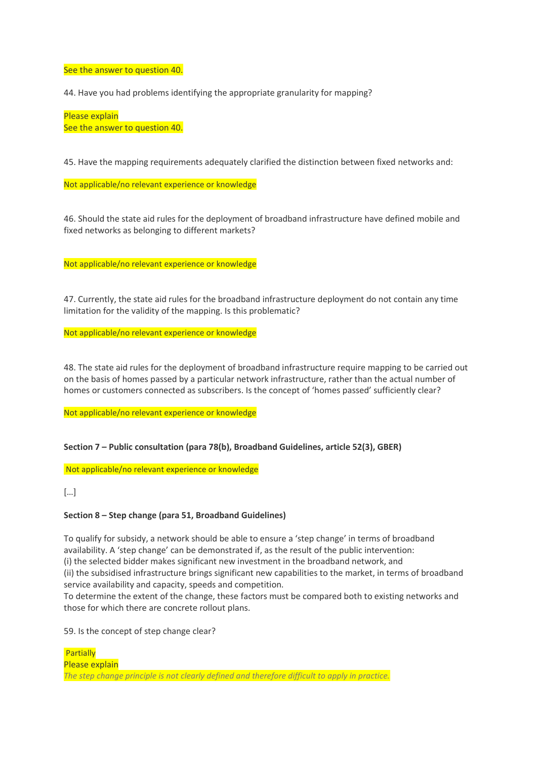See the answer to question 40.

44. Have you had problems identifying the appropriate granularity for mapping?

Please explain See the answer to question 40.

45. Have the mapping requirements adequately clarified the distinction between fixed networks and:

Not applicable/no relevant experience or knowledge

46. Should the state aid rules for the deployment of broadband infrastructure have defined mobile and fixed networks as belonging to different markets?

Not applicable/no relevant experience or knowledge

47. Currently, the state aid rules for the broadband infrastructure deployment do not contain any time limitation for the validity of the mapping. Is this problematic?

Not applicable/no relevant experience or knowledge

48. The state aid rules for the deployment of broadband infrastructure require mapping to be carried out on the basis of homes passed by a particular network infrastructure, rather than the actual number of homes or customers connected as subscribers. Is the concept of 'homes passed' sufficiently clear?

Not applicable/no relevant experience or knowledge

**Section 7 – Public consultation (para 78(b), Broadband Guidelines, article 52(3), GBER)**

Not applicable/no relevant experience or knowledge

[…]

#### **Section 8 – Step change (para 51, Broadband Guidelines)**

To qualify for subsidy, a network should be able to ensure a 'step change' in terms of broadband availability. A 'step change' can be demonstrated if, as the result of the public intervention:

(i) the selected bidder makes significant new investment in the broadband network, and

(ii) the subsidised infrastructure brings significant new capabilities to the market, in terms of broadband service availability and capacity, speeds and competition.

To determine the extent of the change, these factors must be compared both to existing networks and those for which there are concrete rollout plans.

59. Is the concept of step change clear?

**Partially** Please explain *The step change principle is not clearly defined and therefore difficult to apply in practice.*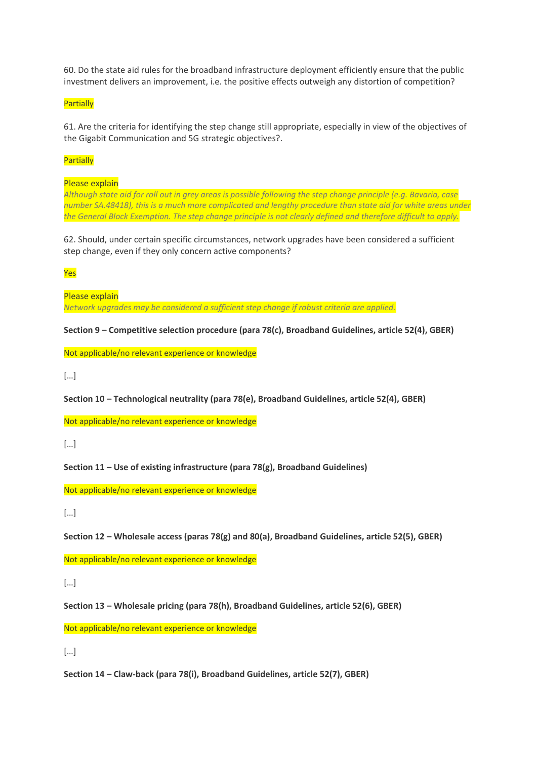60. Do the state aid rules for the broadband infrastructure deployment efficiently ensure that the public investment delivers an improvement, i.e. the positive effects outweigh any distortion of competition?

## **Partially**

61. Are the criteria for identifying the step change still appropriate, especially in view of the objectives of the Gigabit Communication and 5G strategic objectives?.

#### **Partially**

Please explain

*Although state aid for roll out in grey areas is possible following the step change principle (e.g. Bavaria, case number SA.48418), this is a much more complicated and lengthy procedure than state aid for white areas under the General Block Exemption. The step change principle is not clearly defined and therefore difficult to apply.*

62. Should, under certain specific circumstances, network upgrades have been considered a sufficient step change, even if they only concern active components?

Yes

Please explain *Network upgrades may be considered a sufficient step change if robust criteria are applied.*

**Section 9 – Competitive selection procedure (para 78(c), Broadband Guidelines, article 52(4), GBER)**

Not applicable/no relevant experience or knowledge

[…]

**Section 10 – Technological neutrality (para 78(e), Broadband Guidelines, article 52(4), GBER)**

Not applicable/no relevant experience or knowledge

 $\lceil \dots \rceil$ 

**Section 11 – Use of existing infrastructure (para 78(g), Broadband Guidelines)**

Not applicable/no relevant experience or knowledge

 $\lceil$ ...]

**Section 12 – Wholesale access (paras 78(g) and 80(a), Broadband Guidelines, article 52(5), GBER)**

Not applicable/no relevant experience or knowledge

[…]

**Section 13 – Wholesale pricing (para 78(h), Broadband Guidelines, article 52(6), GBER)**

Not applicable/no relevant experience or knowledge

[…]

**Section 14 – Claw-back (para 78(i), Broadband Guidelines, article 52(7), GBER)**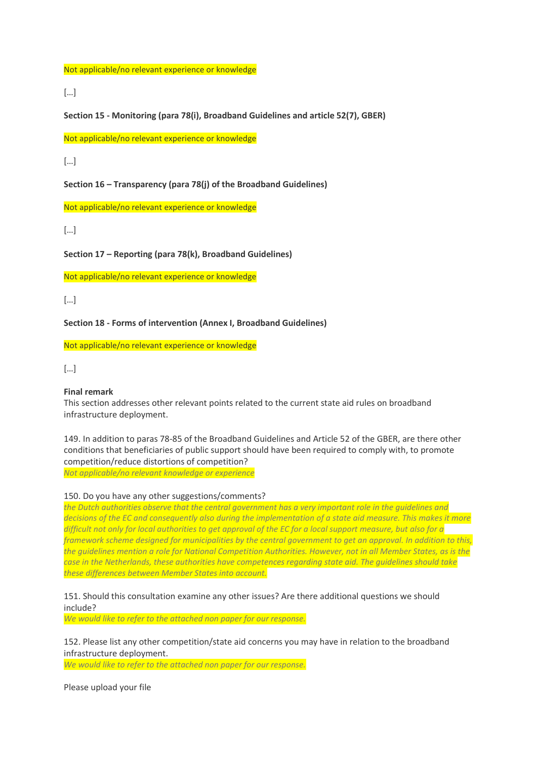Not applicable/no relevant experience or knowledge

[…]

**Section 15 - Monitoring (para 78(i), Broadband Guidelines and article 52(7), GBER)**

Not applicable/no relevant experience or knowledge

[…]

**Section 16 – Transparency (para 78(j) of the Broadband Guidelines)**

Not applicable/no relevant experience or knowledge

[…]

**Section 17 – Reporting (para 78(k), Broadband Guidelines)**

Not applicable/no relevant experience or knowledge

[…]

**Section 18 - Forms of intervention (Annex I, Broadband Guidelines)**

Not applicable/no relevant experience or knowledge

[…]

#### **Final remark**

This section addresses other relevant points related to the current state aid rules on broadband infrastructure deployment.

149. In addition to paras 78-85 of the Broadband Guidelines and Article 52 of the GBER, are there other conditions that beneficiaries of public support should have been required to comply with, to promote competition/reduce distortions of competition? *Not applicable/no relevant knowledge or experience*

150. Do you have any other suggestions/comments?

*the Dutch authorities observe that the central government has a very important role in the guidelines and decisions of the EC and consequently also during the implementation of a state aid measure. This makes it more difficult not only for local authorities to get approval of the EC for a local support measure, but also for a framework scheme designed for municipalities by the central government to get an approval. In addition to this, the guidelines mention a role for National Competition Authorities. However, not in all Member States, as is the case in the Netherlands, these authorities have competences regarding state aid. The guidelines should take these differences between Member States into account.*

151. Should this consultation examine any other issues? Are there additional questions we should include?

*We would like to refer to the attached non paper for our response.*

152. Please list any other competition/state aid concerns you may have in relation to the broadband infrastructure deployment.

*We would like to refer to the attached non paper for our response.*

Please upload your file